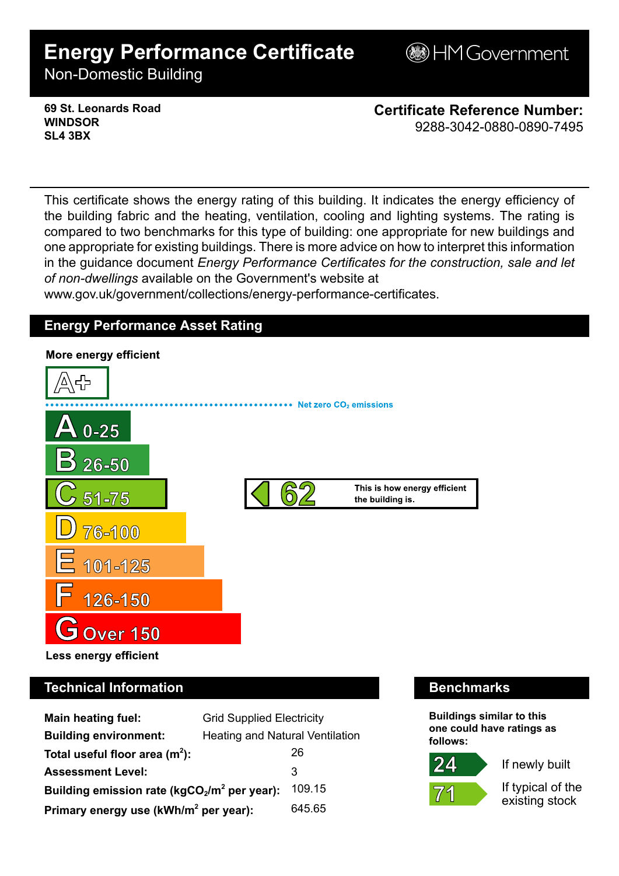# **Energy Performance Certificate**

**BHM Government** 

Non-Domestic Building

**69 St. Leonards Road WINDSOR SL4 3BX**

**Certificate Reference Number:** 9288-3042-0880-0890-7495

This certificate shows the energy rating of this building. It indicates the energy efficiency of the building fabric and the heating, ventilation, cooling and lighting systems. The rating is compared to two benchmarks for this type of building: one appropriate for new buildings and one appropriate for existing buildings. There is more advice on how to interpret this information in the guidance document *Energy Performance Certificates for the construction, sale and let of non-dwellings* available on the Government's website at

www.gov.uk/government/collections/energy-performance-certificates.

# **Energy Performance Asset Rating**



# **Technical Information Benchmarks**

| <b>Main heating fuel:</b>                         | <b>Grid Supplied Electricity</b>       |        |
|---------------------------------------------------|----------------------------------------|--------|
| <b>Building environment:</b>                      | <b>Heating and Natural Ventilation</b> |        |
| Total useful floor area $(m2)$ :                  |                                        | 26     |
| <b>Assessment Level:</b>                          |                                        | 3      |
| Building emission rate ( $kgCO2/m2$ per year):    |                                        | 109.15 |
| Primary energy use (kWh/m <sup>2</sup> per year): |                                        | 645.65 |

**Buildings similar to this one could have ratings as follows:**

If newly built



 $24$ 

If typical of the existing stock